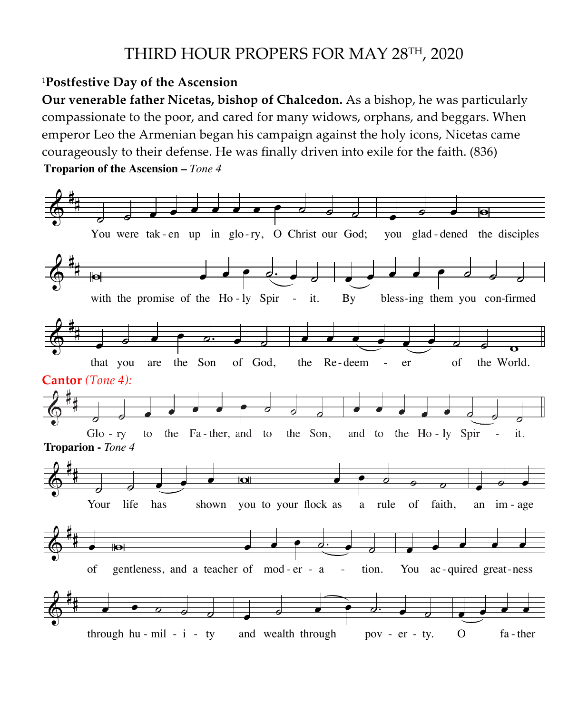## THIRD HOUR PROPERS FOR MAY 28<sup>TH</sup>, 2020

## <sup>1</sup>Postfestive Day of the Ascension

**Our venerable father Nicetas, bishop of Chalcedon.** As a bishop, he was particularly # Our venerable father Nicetas, bishop of Chalcedon. As a bishop, he was particularly compassionate to the poor, and cared for many widows, orphans, and beggars. When emperor Leo the Armenian began his campaign against the holy icons, Nicetas came courageously to their defense. He was finally driven into exile for the faith. (836) Troparion of the Ascension – *Tone 4* courageously to their defense. H<br>**Troparion of the Ascension** – *Tone 4* **Commonautor Lee Armenian**